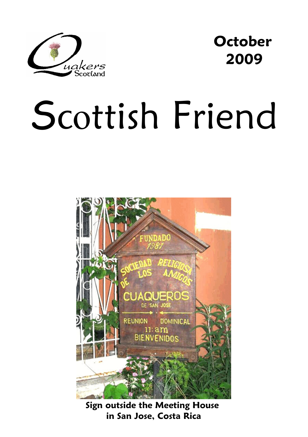

**October 2009** 

# Scottish Friend



**Sign outside the Meeting House in San Jose, Costa Rica**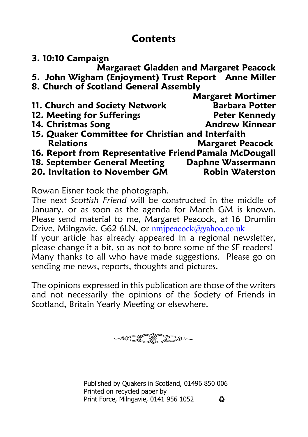# **Contents**

| 3. 10:10 Campaign                                      |                                               |
|--------------------------------------------------------|-----------------------------------------------|
|                                                        | <b>Margaraet Gladden and Margaret Peacock</b> |
| 5. John Wigham (Enjoyment) Trust Report Anne Miller    |                                               |
| 8. Church of Scotland General Assembly                 |                                               |
|                                                        | <b>Margaret Mortimer</b>                      |
| 11. Church and Society Network                         | <b>Barbara Potter</b>                         |
| 12. Meeting for Sufferings                             | <b>Peter Kennedy</b>                          |
| 14. Christmas Song                                     | <b>Andrew Kinnear</b>                         |
| 15. Quaker Committee for Christian and Interfaith      |                                               |
| <b>Relations</b>                                       | <b>Margaret Peacock</b>                       |
| 16. Report from Representative Friend Pamala McDougall |                                               |
| 18. September General Meeting                          | Daphne Wassermann                             |
| 20. Invitation to November GM                          | <b>Robin Waterston</b>                        |

Rowan Eisner took the photograph.

The next *Scottish Friend* will be constructed in the middle of January, or as soon as the agenda for March GM is known. Please send material to me, Margaret Peacock, at 16 Drumlin Drive, Milngavie, G62 6LN, or nmipeacock@yahoo.co.uk.

If your article has already appeared in a regional newsletter, please change it a bit, so as not to bore some of the SF readers! Many thanks to all who have made suggestions. Please go on sending me news, reports, thoughts and pictures.

The opinions expressed in this publication are those of the writers and not necessarily the opinions of the Society of Friends in Scotland, Britain Yearly Meeting or elsewhere.



Published by Quakers in Scotland, 01496 850 006 Printed on recycled paper by Print Force, Milngavie, 0141 956 1052 $\mathbf{C}$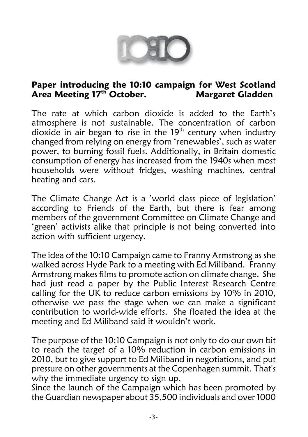

### **Paper introducing the 10:10 campaign for West Scotland Area Meeting 17<sup>th</sup> October.**

The rate at which carbon dioxide is added to the Earth's atmosphere is not sustainable. The concentration of carbon dioxide in air began to rise in the  $19<sup>th</sup>$  century when industry changed from relying on energy from 'renewables', such as water power, to burning fossil fuels. Additionally, in Britain domestic consumption of energy has increased from the 1940s when most households were without fridges, washing machines, central heating and cars.

The Climate Change Act is a 'world class piece of legislation' according to Friends of the Earth, but there is fear among members of the government Committee on Climate Change and 'green' activists alike that principle is not being converted into action with sufficient urgency.

The idea of the 10:10 Campaign came to Franny Armstrong as she walked across Hyde Park to a meeting with Ed Miliband. Franny Armstrong makes films to promote action on climate change. She had just read a paper by the Public Interest Research Centre calling for the UK to reduce carbon emissions by 10% in 2010, otherwise we pass the stage when we can make a significant contribution to world-wide efforts. She floated the idea at the meeting and Ed Miliband said it wouldn't work.

The purpose of the 10:10 Campaign is not only to do our own bit to reach the target of a 10% reduction in carbon emissions in 2010, but to give support to Ed Miliband in negotiations, and put pressure on other governments at the Copenhagen summit. That's why the immediate urgency to sign up.

Since the launch of the Campaign which has been promoted by the Guardian newspaper about 35,500 individuals and over 1000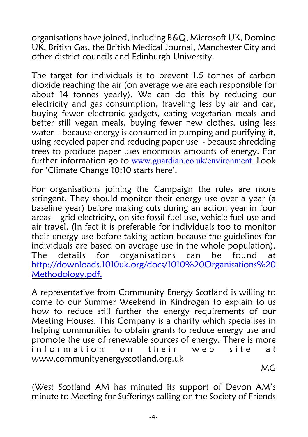organisations have joined, including B&Q, Microsoft UK, Domino UK, British Gas, the British Medical Journal, Manchester City and other district councils and Edinburgh University.

The target for individuals is to prevent 1.5 tonnes of carbon dioxide reaching the air (on average we are each responsible for about 14 tonnes yearly). We can do this by reducing our electricity and gas consumption, traveling less by air and car, buying fewer electronic gadgets, eating vegetarian meals and better still vegan meals, buying fewer new clothes, using less water – because energy is consumed in pumping and purifying it, using recycled paper and reducing paper use - because shredding trees to produce paper uses enormous amounts of energy. For further information go to [www.guardian.co.uk/environment.](mailto:nmjpeacock@yahoo.co.uk.) Look for 'Climate Change 10:10 starts here'.

For organisations joining the Campaign the rules are more stringent. They should monitor their energy use over a year (a baseline year) before making cuts during an action year in four areas – grid electricity, on site fossil fuel use, vehicle fuel use and air travel. (In fact it is preferable for individuals too to monitor their energy use before taking action because the guidelines for individuals are based on average use in the whole population). The details for organisations can be found at [http://downloads.1010uk.org/docs/1010%20Organisations%20](mailto:nmjpeacock@yahoo.co.uk.) [Methodology.pdf.](mailto:nmjpeacock@yahoo.co.uk.)

A representative from Community Energy Scotland is willing to come to our Summer Weekend in Kindrogan to explain to us how to reduce still further the energy requirements of our Meeting Houses. This Company is a charity which specialises in helping communities to obtain grants to reduce energy use and promote the use of renewable sources of energy. There is more<br>information on their web site at information on their web site at www.communityenergyscotland.org.uk

**MG** in the contract of the contract of the contract of the contract of the contract of the contract of the contract of the contract of the contract of the contract of the contract of the contract of the contract of the co

(West Scotland AM has minuted its support of Devon AM's minute to Meeting for Sufferings calling on the Society of Friends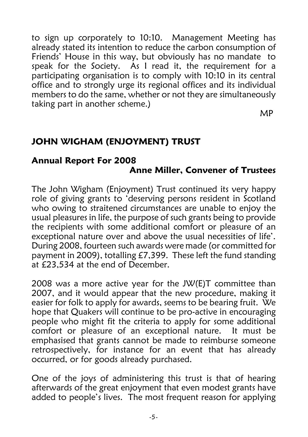to sign up corporately to 10:10. Management Meeting has already stated its intention to reduce the carbon consumption of Friends' House in this way, but obviously has no mandate to speak for the Society. As I read it, the requirement for a participating organisation is to comply with 10:10 in its central office and to strongly urge its regional offices and its individual members to do the same, whether or not they are simultaneously taking part in another scheme.)

MP

# **JOHN WIGHAM (ENJOYMENT) TRUST**

### **Annual Report For 2008 Anne Miller, Convener of Trustees**

The John Wigham (Enjoyment) Trust continued its very happy role of giving grants to 'deserving persons resident in Scotland who owing to straitened circumstances are unable to enjoy the usual pleasures in life, the purpose of such grants being to provide the recipients with some additional comfort or pleasure of an exceptional nature over and above the usual necessities of life'. During 2008, fourteen such awards were made (or committed for payment in 2009), totalling £7,399. These left the fund standing at £23,534 at the end of December.

2008 was a more active year for the JW(E)T committee than 2007, and it would appear that the new procedure, making it easier for folk to apply for awards, seems to be bearing fruit. We hope that Quakers will continue to be pro-active in encouraging people who might fit the criteria to apply for some additional comfort or pleasure of an exceptional nature. It must be emphasised that grants cannot be made to reimburse someone retrospectively, for instance for an event that has already occurred, or for goods already purchased.

One of the joys of administering this trust is that of hearing afterwards of the great enjoyment that even modest grants have added to people's lives. The most frequent reason for applying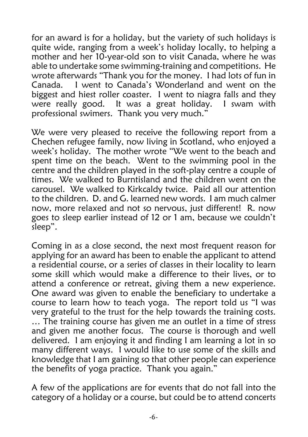for an award is for a holiday, but the variety of such holidays is quite wide, ranging from a week's holiday locally, to helping a mother and her 10-year-old son to visit Canada, where he was able to undertake some swimming-training and competitions. He wrote afterwards "Thank you for the money. I had lots of fun in Canada. I went to Canada's Wonderland and went on the biggest and hiest roller coaster. I went to niagra falls and they were really good. It was a great holiday. I swam with professional swimers. Thank you very much."

We were very pleased to receive the following report from a Chechen refugee family, now living in Scotland, who enjoyed a week's holiday. The mother wrote "We went to the beach and spent time on the beach. Went to the swimming pool in the centre and the children played in the soft-play centre a couple of times. We walked to Burntisland and the children went on the carousel. We walked to Kirkcaldy twice. Paid all our attention to the children. D. and G. learned new words. I am much calmer now, more relaxed and not so nervous, just different! R. now goes to sleep earlier instead of 12 or 1 am, because we couldn't sleep".

Coming in as a close second, the next most frequent reason for applying for an award has been to enable the applicant to attend a residential course, or a series of classes in their locality to learn some skill which would make a difference to their lives, or to attend a conference or retreat, giving them a new experience. One award was given to enable the beneficiary to undertake a course to learn how to teach yoga. The report told us "I was very grateful to the trust for the help towards the training costs. ... The training course has given me an outlet in a time of stress and given me another focus. The course is thorough and well delivered. I am enjoying it and finding I am learning a lot in so many different ways. I would like to use some of the skills and knowledge that I am gaining so that other people can experience the benefits of yoga practice. Thank you again."

A few of the applications are for events that do not fall into the category of a holiday or a course, but could be to attend concerts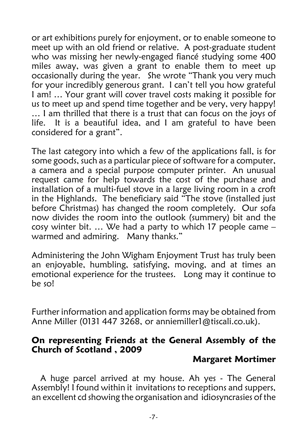or art exhibitions purely for enjoyment, or to enable someone to meet up with an old friend or relative. A post-graduate student who was missing her newly-engaged fiancé studying some 400 miles away, was given a grant to enable them to meet up occasionally during the year. She wrote "Thank you very much for your incredibly generous grant. I can't tell you how grateful I am! … Your grant will cover travel costs making it possible for us to meet up and spend time together and be very, very happy! … I am thrilled that there is a trust that can focus on the joys of life. It is a beautiful idea, and I am grateful to have been considered for a grant".

The last category into which a few of the applications fall, is for some goods, such as a particular piece of software for a computer, a camera and a special purpose computer printer. An unusual request came for help towards the cost of the purchase and installation of a multi-fuel stove in a large living room in a croft in the Highlands. The beneficiary said "The stove (installed just before Christmas) has changed the room completely. Our sofa now divides the room into the outlook (summery) bit and the cosy winter bit. … We had a party to which 17 people came – warmed and admiring. Many thanks."

Administering the John Wigham Enjoyment Trust has truly been an enjoyable, humbling, satisfying, moving, and at times an emotional experience for the trustees. Long may it continue to be so!

Further information and application forms may be obtained from Anne Miller (0131 447 3268, or anniemiller1@tiscali.co.uk).

### **On representing Friends at the General Assembly of the Church of Scotland , 2009**

### **Margaret Mortimer**

 A huge parcel arrived at my house. Ah yes - The General Assembly! I found within it invitations to receptions and suppers, an excellent cd showing the organisation and idiosyncrasies of the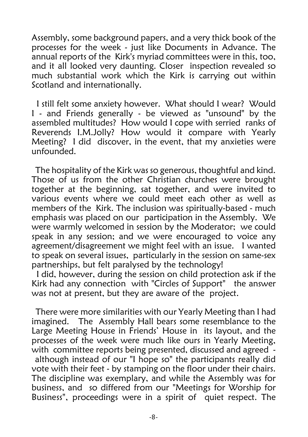Assembly, some background papers, and a very thick book of the processes for the week - just like Documents in Advance. The annual reports of the Kirk's myriad committees were in this, too, and it all looked very daunting. Closer inspection revealed so much substantial work which the Kirk is carrying out within Scotland and internationally.

I still felt some anxiety however. What should I wear? Would I - and Friends generally - be viewed as "unsound" by the assembled multitudes? How would I cope with serried ranks of Reverends I.M.Jolly? How would it compare with Yearly Meeting? I did discover, in the event, that my anxieties were unfounded.

 The hospitality of the Kirk was so generous, thoughtful and kind. Those of us from the other Christian churches were brought together at the beginning, sat together, and were invited to various events where we could meet each other as well as members of the Kirk. The inclusion was spiritually-based - much emphasis was placed on our participation in the Assembly. We were warmly welcomed in session by the Moderator; we could speak in any session; and we were encouraged to voice any agreement/disagreement we might feel with an issue. I wanted to speak on several issues, particularly in the session on same-sex partnerships, but felt paralysed by the technology!

 I did, however, during the session on child protection ask if the Kirk had any connection with "Circles of Support" the answer was not at present, but they are aware of the project.

 There were more similarities with our Yearly Meeting than I had imagined. The Assembly Hall bears some resemblance to the Large Meeting House in Friends' House in its layout, and the processes of the week were much like ours in Yearly Meeting, with committee reports being presented, discussed and agreed although instead of our "I hope so" the participants really did vote with their feet - by stamping on the floor under their chairs. The discipline was exemplary, and while the Assembly was for business, and so differed from our "Meetings for Worship for Business", proceedings were in a spirit of quiet respect. The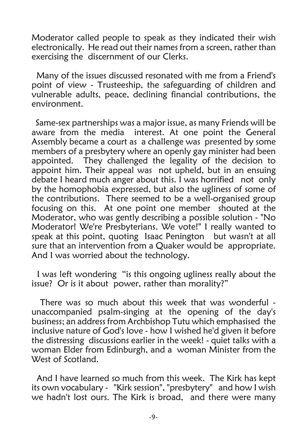Moderator called people to speak as they indicated their wish electronically. He read out their names from a screen, rather than exercising the discernment of our Clerks.

 Many of the issues discussed resonated with me from a Friend's point of view - Trusteeship, the safeguarding of children and vulnerable adults, peace, declining financial contributions, the environment.

 Same-sex partnerships was a major issue, as many Friends will be aware from the media interest. At one point the General Assembly became a court as a challenge was presented by some members of a presbytery where an openly gay minister had been appointed. They challenged the legality of the decision to appoint him. Their appeal was not upheld, but in an ensuing debate I heard much anger about this. I was horrified not only by the homophobia expressed, but also the ugliness of some of the contributions. There seemed to be a well-organised group focusing on this. At one point one member shouted at the Moderator, who was gently describing a possible solution - "No Moderator! We're Presbyterians. We vote!" I really wanted to speak at this point, quoting Isaac Penington but wasn't at all sure that an intervention from a Quaker would be appropriate. And I was worried about the technology.

 I was left wondering "is this ongoing ugliness really about the issue? Or is it about power, rather than morality?"

 There was so much about this week that was wonderful unaccompanied psalm-singing at the opening of the day's business; an address from Archbishop Tutu which emphasised the inclusive nature of God's love - how I wished he'd given it before the distressing discussions earlier in the week! - quiet talks with a woman Elder from Edinburgh, and a woman Minister from the West of Scotland

 And I have learned so much from this week. The Kirk has kept its own vocabulary - "Kirk session", "presbytery" and how I wish we hadn't lost ours. The Kirk is broad, and there were many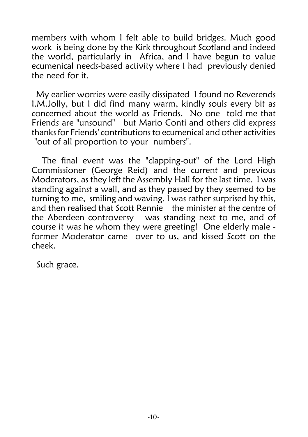members with whom I felt able to build bridges. Much good work is being done by the Kirk throughout Scotland and indeed the world, particularly in Africa, and I have begun to value ecumenical needs-based activity where I had previously denied the need for it.

 My earlier worries were easily dissipated I found no Reverends I.M.Jolly, but I did find many warm, kindly souls every bit as concerned about the world as Friends. No one told me that Friends are "unsound" but Mario Conti and others did express thanks for Friends' contributions to ecumenical and other activities "out of all proportion to your numbers".

 The final event was the "clapping-out" of the Lord High Commissioner (George Reid) and the current and previous Moderators, as they left the Assembly Hall for the last time. I was standing against a wall, and as they passed by they seemed to be turning to me, smiling and waving. I was rather surprised by this, and then realised that Scott Rennie the minister at the centre of the Aberdeen controversy was standing next to me, and of course it was he whom they were greeting! One elderly male former Moderator came over to us, and kissed Scott on the cheek.

Such grace.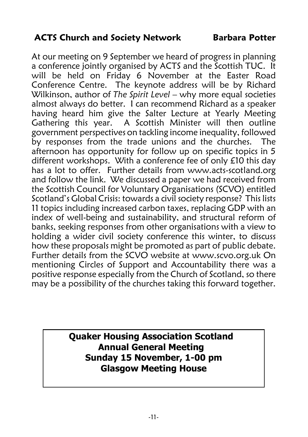# **ACTS Church and Society Network Barbara Potter**

At our meeting on 9 September we heard of progress in planning a conference jointly organised by ACTS and the Scottish TUC. It will be held on Friday 6 November at the Easter Road Conference Centre. The keynote address will be by Richard Wilkinson, author of *The Spirit Level* – why more equal societies almost always do better. I can recommend Richard as a speaker having heard him give the Salter Lecture at Yearly Meeting Gathering this year. A Scottish Minister will then outline government perspectives on tackling income inequality, followed by responses from the trade unions and the churches. The afternoon has opportunity for follow up on specific topics in 5 different workshops. With a conference fee of only £10 this day has a lot to offer. Further details from www.acts-scotland.org and follow the link. We discussed a paper we had received from the Scottish Council for Voluntary Organisations (SCVO) entitled Scotland's Global Crisis: towards a civil society response? This lists 11 topics including increased carbon taxes, replacing GDP with an index of well-being and sustainability, and structural reform of banks, seeking responses from other organisations with a view to holding a wider civil society conference this winter, to discuss how these proposals might be promoted as part of public debate. Further details from the SCVO website at www.scvo.org.uk On mentioning Circles of Support and Accountability there was a positive response especially from the Church of Scotland, so there may be a possibility of the churches taking this forward together.

> **Quaker Housing Association Scotland Annual General Meeting Sunday 15 November, 1-00 pm Glasgow Meeting House**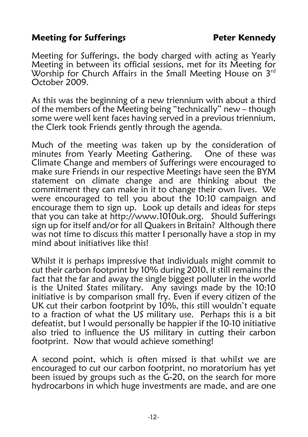# **Meeting for Sufferings The State Better Kennedy**

Meeting for Sufferings, the body charged with acting as Yearly Meeting in between its official sessions, met for its Meeting for Worship for Church Affairs in the Small Meeting House on  $3<sup>rd</sup>$ October 2009.

As this was the beginning of a new triennium with about a third of the members of the Meeting being "technically" new – though some were well kent faces having served in a previous triennium, the Clerk took Friends gently through the agenda.

Much of the meeting was taken up by the consideration of minutes from Yearly Meeting Gathering. One of these was Climate Change and members of Sufferings were encouraged to make sure Friends in our respective Meetings have seen the BYM statement on climate change and are thinking about the commitment they can make in it to change their own lives. We were encouraged to tell you about the 10:10 campaign and encourage them to sign up. Look up details and ideas for steps that you can take at http://www.1010uk.org. Should Sufferings sign up for itself and/or for all Quakers in Britain? Although there was not time to discuss this matter I personally have a stop in my mind about initiatives like this!

Whilst it is perhaps impressive that individuals might commit to cut their carbon footprint by 10% during 2010, it still remains the fact that the far and away the single biggest polluter in the world is the United States military. Any savings made by the 10:10 initiative is by comparison small fry. Even if every citizen of the UK cut their carbon footprint by 10%, this still wouldn't equate to a fraction of what the US military use. Perhaps this is a bit defeatist, but I would personally be happier if the 10-10 initiative also tried to influence the US military in cutting their carbon footprint. Now that would achieve something!

A second point, which is often missed is that whilst we are encouraged to cut our carbon footprint, no moratorium has yet been issued by groups such as the G-20, on the search for more hydrocarbons in which huge investments are made, and are one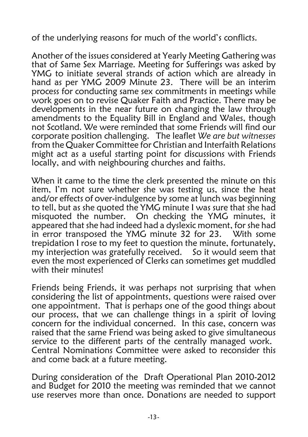of the underlying reasons for much of the world's conflicts.

Another of the issues considered at Yearly Meeting Gathering was that of Same Sex Marriage. Meeting for Sufferings was asked by YMG to initiate several strands of action which are already in hand as per YMG 2009 Minute 23. There will be an interim process for conducting same sex commitments in meetings while work goes on to revise Quaker Faith and Practice. There may be developments in the near future on changing the law through amendments to the Equality Bill in England and Wales, though not Scotland. We were reminded that some Friends will find our corporate position challenging. The leaflet *We are but witnesses* from the Quaker Committee for Christian and Interfaith Relations might act as a useful starting point for discussions with Friends locally, and with neighbouring churches and faiths.

When it came to the time the clerk presented the minute on this item, I'm not sure whether she was testing us, since the heat and/or effects of over-indulgence by some at lunch was beginning to tell, but as she quoted the YMG minute I was sure that she had misquoted the number. On checking the YMG minutes, it appeared that she had indeed had a dyslexic moment, for she had in error transposed the YMG minute 32 for 23. With some trepidation I rose to my feet to question the minute, fortunately, my interjection was gratefully received. So it would seem that even the most experienced of Clerks can sometimes get muddled with their minuted

Friends being Friends, it was perhaps not surprising that when considering the list of appointments, questions were raised over one appointment. That is perhaps one of the good things about our process, that we can challenge things in a spirit of loving concern for the individual concerned. In this case, concern was raised that the same Friend was being asked to give simultaneous service to the different parts of the centrally managed work. Central Nominations Committee were asked to reconsider this and come back at a future meeting.

During consideration of the Draft Operational Plan 2010-2012 and Budget for 2010 the meeting was reminded that we cannot use reserves more than once. Donations are needed to support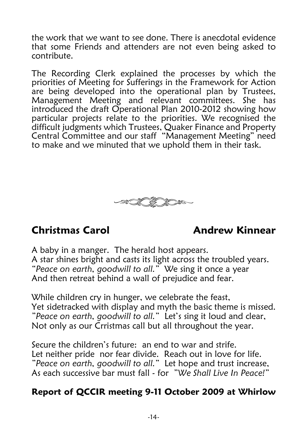the work that we want to see done. There is anecdotal evidence that some Friends and attenders are not even being asked to contribute.

The Recording Clerk explained the processes by which the priorities of Meeting for Sufferings in the Framework for Action are being developed into the operational plan by Trustees, Management Meeting and relevant committees. She has introduced the draft Operational Plan 2010-2012 showing how particular projects relate to the priorities. We recognised the difficult judgments which Trustees, Quaker Finance and Property Central Committee and our staff "Management Meeting" need to make and we minuted that we uphold them in their task.



# **Christmas Carol Andrew Kinnear**

A baby in a manger. The herald host appears. A star shines bright and casts its light across the troubled years. *"Peace on earth, goodwill to all."* We sing it once a year And then retreat behind a wall of prejudice and fear.

While children cry in hunger, we celebrate the feast, Yet sidetracked with display and myth the basic theme is missed. *"Peace on earth, goodwill to all."* Let's sing it loud and clear, Not only as our Crristmas call but all throughout the year.

Secure the children's future: an end to war and strife. Let neither pride nor fear divide. Reach out in love for life. *"Peace on earth, goodwill to all."* Let hope and trust increase, As each successive bar must fall - for *"We Shall Live In Peace!"*

# **Report of QCCIR meeting 9-11 October 2009 at Whirlow**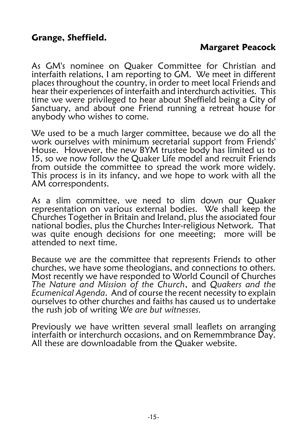# **Margaret Peacock**

As GM's nominee on Quaker Committee for Christian and interfaith relations, I am reporting to GM. We meet in different places throughout the country, in order to meet local Friends and hear their experiences of interfaith and interchurch activities. This time we were privileged to hear about Sheffield being a City of Sanctuary, and about one Friend running a retreat house for anybody who wishes to come.

We used to be a much larger committee, because we do all the work ourselves with minimum secretarial support from Friends' House. However, the new BYM trustee body has limited us to 15, so we now follow the Quaker Life model and recruit Friends from outside the committee to spread the work more widely. This process is in its infancy, and we hope to work with all the AM correspondents.

As a slim committee, we need to slim down our Quaker representation on various external bodies. We shall keep the Churches Together in Britain and Ireland, plus the associated four national bodies, plus the Churches Inter-religious Network. That was quite enough decisions for one meeeting; more will be attended to next time.

Because we are the committee that represents Friends to other churches, we have some theologians, and connections to others. Most recently we have responded to World Council of Churches *The Nature and Mission of the Church*, and *Quakers and the Ecumenical Agenda*. And of course the recent necessity to explain ourselves to other churches and faiths has caused us to undertake the rush job of writing *We are but witnesses.*

Previously we have written several small leaflets on arranging interfaith or interchurch occasions, and on Rememmbrance Day. All these are downloadable from the Quaker website.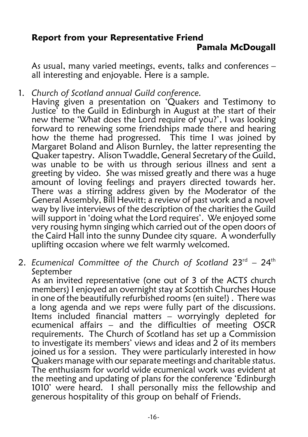### **Report from your Representative Friend Pamala McDougall**

As usual, many varied meetings, events, talks and conferences – all interesting and enjoyable. Here is a sample.

1. *Church of Scotland annual Guild conference.*

Having given a presentation on 'Quakers and Testimony to Justice' to the Guild in Edinburgh in August at the start of their new theme 'What does the Lord require of you?', I was looking forward to renewing some friendships made there and hearing how the theme had progressed. This time I was joined by Margaret Boland and Alison Burnley, the latter representing the Quaker tapestry. Alison Twaddle, General Secretary of the Guild, was unable to be with us through serious illness and sent a greeting by video. She was missed greatly and there was a huge amount of loving feelings and prayers directed towards her. There was a stirring address given by the Moderator of the General Assembly, Bill Hewitt; a review of past work and a novel way by live interviews of the description of the charities the Guild will support in 'doing what the Lord requires'. We enjoyed some very rousing hymn singing which carried out of the open doors of the Caird Hall into the sunny Dundee city square. A wonderfully uplifting occasion where we felt warmly welcomed.

2. Ecumenical Committee of the Church of Scotland 23<sup>rd</sup> - 24<sup>th</sup> September

As an invited representative (one out of 3 of the ACTS church members) I enjoyed an overnight stay at Scottish Churches House in one of the beautifully refurbished rooms (en suite!) . There was a long agenda and we reps were fully part of the discussions. Items included financial matters – worryingly depleted for ecumenical affairs – and the difficulties of meeting OSCR requirements. The Church of Scotland has set up a Commission to investigate its members' views and ideas and 2 of its members joined us for a session. They were particularly interested in how Quakers manage with our separate meetings and charitable status. The enthusiasm for world wide ecumenical work was evident at the meeting and updating of plans for the conference 'Edinburgh 1010' were heard. I shall personally miss the fellowship and generous hospitality of this group on behalf of Friends.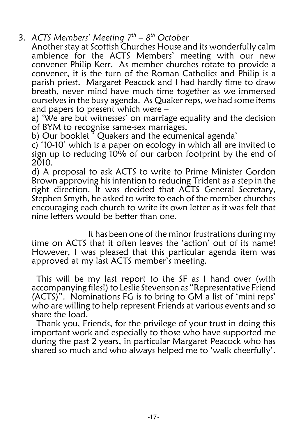- 3. *ACTS Members' Meeting 7<sup>th</sup> 8<sup>th</sup> October* 
	- Another stay at Scottish Churches House and its wonderfully calm ambience for the ACTS Members' meeting with our new convener Philip Kerr. As member churches rotate to provide a convener, it is the turn of the Roman Catholics and Philip is a parish priest. Margaret Peacock and I had hardly time to draw breath, never mind have much time together as we immersed ourselves in the busy agenda. As Quaker reps, we had some items and papers to present which were –

a) 'We are but witnesses' on marriage equality and the decision of BYM to recognise same-sex marriages.

b) Our booklet <sup>7</sup> Quakers and the ecumenical agenda'

c) '10-10' which is a paper on ecology in which all are invited to sign up to reducing 10% of our carbon footprint by the end of 2010.

d) A proposal to ask ACTS to write to Prime Minister Gordon Brown approving his intention to reducing Trident as a step in the right direction. It was decided that ACTS General Secretary, Stephen Smyth, be asked to write to each of the member churches encouraging each church to write its own letter as it was felt that nine letters would be better than one.

It has been one of the minor frustrations during my time on ACTS that it often leaves the 'action' out of its name! However, I was pleased that this particular agenda item was approved at my last ACTS member's meeting.

This will be my last report to the SF as I hand over (with accompanying files!) to Leslie Stevenson as "Representative Friend (ACTS)". Nominations FG is to bring to GM a list of 'mini reps' who are willing to help represent Friends at various events and so share the load.

Thank you, Friends, for the privilege of your trust in doing this important work and especially to those who have supported me during the past 2 years, in particular Margaret Peacock who has shared so much and who always helped me to 'walk cheerfully'.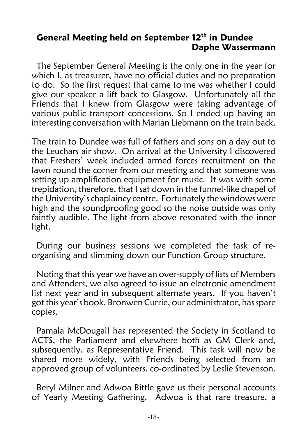## **General Meeting held on September 12<sup>th</sup> in Dundee Daphe Wassermann**

The September General Meeting is the only one in the year for which I, as treasurer, have no official duties and no preparation to do. So the first request that came to me was whether I could give our speaker a lift back to Glasgow. Unfortunately all the Friends that I knew from Glasgow were taking advantage of various public transport concessions. So I ended up having an interesting conversation with Marian Liebmann on the train back.

The train to Dundee was full of fathers and sons on a day out to the Leuchars air show. On arrival at the University I discovered that Freshers' week included armed forces recruitment on the lawn round the corner from our meeting and that someone was setting up amplification equipment for music. It was with some trepidation, therefore, that I sat down in the funnel-like chapel of the University's chaplaincy centre. Fortunately the windows were high and the soundproofing good so the noise outside was only faintly audible. The light from above resonated with the inner light.

During our business sessions we completed the task of reorganising and slimming down our Function Group structure.

Noting that this year we have an over-supply of lists of Members and Attenders, we also agreed to issue an electronic amendment list next year and in subsequent alternate years. If you haven't got this year's book, Bronwen Currie, our administrator, has spare copies.

Pamala McDougall has represented the Society in Scotland to ACTS, the Parliament and elsewhere both as GM Clerk and, subsequently, as Representative Friend. This task will now be shared more widely, with Friends being selected from an approved group of volunteers, co-ordinated by Leslie Stevenson.

Beryl Milner and Adwoa Bittle gave us their personal accounts of Yearly Meeting Gathering. Adwoa is that rare treasure, a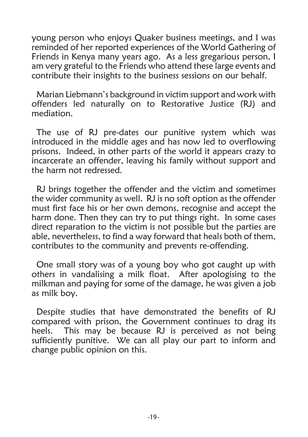young person who enjoys Quaker business meetings, and I was reminded of her reported experiences of the World Gathering of Friends in Kenya many years ago. As a less gregarious person, I am very grateful to the Friends who attend these large events and contribute their insights to the business sessions on our behalf.

Marian Liebmann's background in victim support and work with offenders led naturally on to Restorative Justice (RJ) and mediation.

The use of RJ pre-dates our punitive system which was introduced in the middle ages and has now led to overflowing prisons. Indeed, in other parts of the world it appears crazy to incarcerate an offender, leaving his family without support and the harm not redressed.

RJ brings together the offender and the victim and sometimes the wider community as well. RJ is no soft option as the offender must first face his or her own demons, recognise and accept the harm done. Then they can try to put things right. In some cases direct reparation to the victim is not possible but the parties are able, nevertheless, to find a way forward that heals both of them, contributes to the community and prevents re-offending.

One small story was of a young boy who got caught up with others in vandalising a milk float. After apologising to the milkman and paying for some of the damage, he was given a job as milk boy.

Despite studies that have demonstrated the benefits of RJ compared with prison, the Government continues to drag its heels. This may be because RJ is perceived as not being sufficiently punitive. We can all play our part to inform and change public opinion on this.